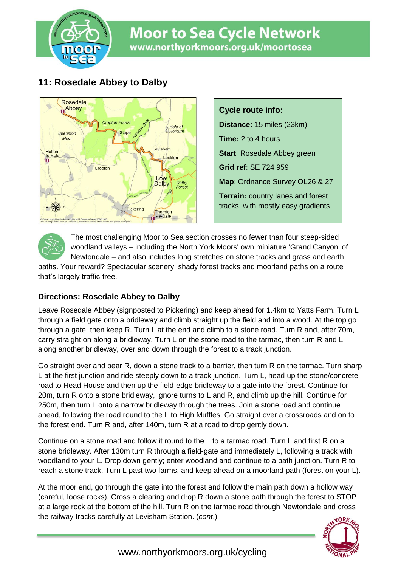

# **Moor to Sea Cycle Network** www.northyorkmoors.org.uk/moortosea

## **11: Rosedale Abbey to Dalby**



**Cycle route info: Distance:** 15 miles (23km) **Time:** 2 to 4 hours **Start**: Rosedale Abbey green **Grid ref**: SE 724 959 **Map**: Ordnance Survey OL26 & 27 **Terrain:** country lanes and forest tracks, with mostly easy gradients

The most challenging Moor to Sea section crosses no fewer than four steep-sided woodland valleys – including the North York Moors' own miniature 'Grand Canyon' of Newtondale – and also includes long stretches on stone tracks and grass and earth

paths. Your reward? Spectacular scenery, shady forest tracks and moorland paths on a route that's largely traffic-free.

### **Directions: Rosedale Abbey to Dalby**

Leave Rosedale Abbey (signposted to Pickering) and keep ahead for 1.4km to Yatts Farm. Turn L through a field gate onto a bridleway and climb straight up the field and into a wood. At the top go through a gate, then keep R. Turn L at the end and climb to a stone road. Turn R and, after 70m, carry straight on along a bridleway. Turn L on the stone road to the tarmac, then turn R and L along another bridleway, over and down through the forest to a track junction.

Go straight over and bear R, down a stone track to a barrier, then turn R on the tarmac. Turn sharp L at the first junction and ride steeply down to a track junction. Turn L, head up the stone/concrete road to Head House and then up the field-edge bridleway to a gate into the forest. Continue for 20m, turn R onto a stone bridleway, ignore turns to L and R, and climb up the hill. Continue for 250m, then turn L onto a narrow bridleway through the trees. Join a stone road and continue ahead, following the road round to the L to High Muffles. Go straight over a crossroads and on to the forest end. Turn R and, after 140m, turn R at a road to drop gently down.

Continue on a stone road and follow it round to the L to a tarmac road. Turn L and first R on a stone bridleway. After 130m turn R through a field-gate and immediately L, following a track with woodland to your L. Drop down gently; enter woodland and continue to a path junction. Turn R to reach a stone track. Turn L past two farms, and keep ahead on a moorland path (forest on your L).

At the moor end, go through the gate into the forest and follow the main path down a hollow way (careful, loose rocks). Cross a clearing and drop R down a stone path through the forest to STOP at a large rock at the bottom of the hill. Turn R on the tarmac road through Newtondale and cross the railway tracks carefully at Levisham Station. (*cont*.) ORK